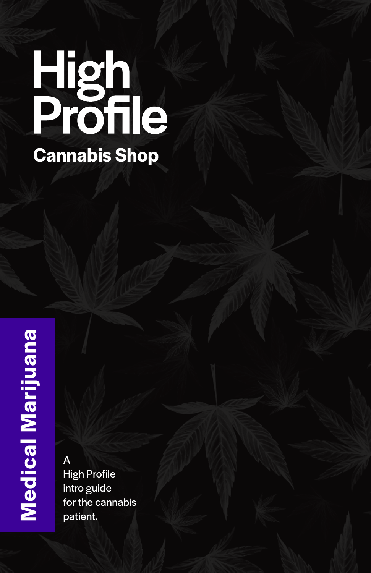# High<br>Profile **Cannabis Shop**

A High Profile intro guide for the cannabis patient.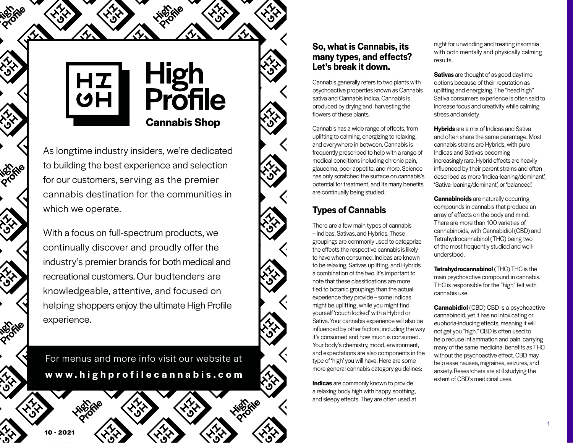

# High<br>Profile **Cannabis Shop**

As longtime industry insiders, we're dedicated to building the best experience and selection for our customers, serving as the premier cannabis destination for the communities in which we operate.

With a focus on full-spectrum products, we continually discover and proudly offer the industry's premier brands for both medical and recreational customers. Our budtenders are knowledgeable, attentive, and focused on helping shoppers enjoy the ultimate High Profile experience.

For menus and more info visit our website at **www.highprofilecannabis.com**

#### **So, what is Cannabis, its many types, and effects? Let's break it down.**

Cannabis generally refers to two plants with psychoactive properties known as Cannabis sativa and Cannabis indica. Cannabis is produced by drying and harvesting the flowers of these plants.

Cannabis has a wide range of effects, from uplifting to calming, energizing to relaxing, and everywhere in between. Cannabis is frequently prescribed to help with a range of medical conditions including chronic pain, glaucoma, poor appetite, and more. Science has only scratched the surface on cannabis's potential for treatment, and its many benefits are continually being studied.

#### **Types of Cannabis**

There are a few main types of cannabis – Indicas, Sativas, and Hybrids. These groupings are commonly used to categorize the effects the respective cannabis is likely to have when consumed. Indicas are known to be relaxing, Sativas uplifting, and Hybrids a combination of the two. It's important to note that these classifications are more tied to botanic groupings than the actual experience they provide – some Indicas might be uplifting, while you might find yourself 'couch locked' with a Hybrid or Sativa. Your cannabis experience will also be influenced by other factors, including the way it's consumed and how much is consumed. Your body's chemistry, mood, environment, and expectations are also components in the type of 'high' you will have. Here are some more general cannabis category guidelines:

**Indicas** are commonly known to provide a relaxing body high with happy, soothing, and sleepy effects. They are often used at night for unwinding and treating insomnia with both mentally and physically calming results.

**Sativas** are thought of as good daytime options because of their reputation as uplifting and energizing. The "head high" Sativa consumers experience is often said to increase focus and creativity while calming stress and anxiety.

**Hybrids** are a mix of Indicas and Sativa and often share the same parentage. Most cannabis strains are Hybrids, with pure Indicas and Sativas becoming increasingly rare. Hybrid effects are heavily influenced by their parent strains and often described as more 'Indica-leaning/dominant', 'Sativa-leaning/dominant', or 'balanced'.

**Cannabinoids** are naturally occurring compounds in cannabis that produce an array of effects on the body and mind. There are more than 100 varieties of cannabinoids, with Cannabidiol (CBD) and Tetrahydrocannabinol (THC) being two of the most frequently studied and wellunderstood.

**Tetrahydrocannabinol** (THC) THC is the main psychoactive compound in cannabis. THC is responsible for the "high" felt with cannabis use.

**Cannabidiol** (CBD) CBD is a psychoactive cannabinoid, yet it has no intoxicating or euphoria-inducing effects, meaning it will not get you "high." CBD is often used to help reduce inflammation and pain. carrying many of the same medicinal benefits as THC without the psychoactive effect. CBD may help ease nausea, migraines, seizures, and anxiety. Researchers are still studying the extent of CBD's medicinal uses.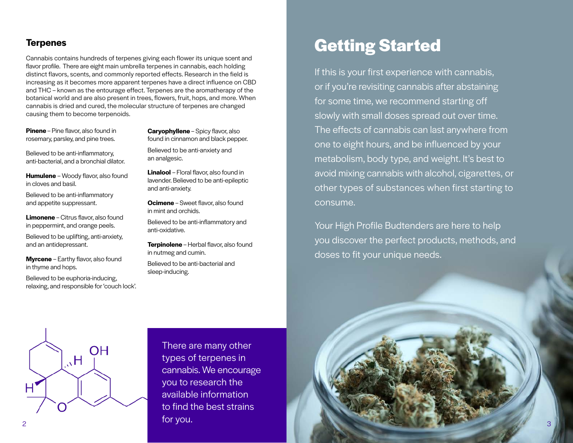#### **Terpenes**

Cannabis contains hundreds of terpenes giving each flower its unique scent and flavor profile. There are eight main umbrella terpenes in cannabis, each holding distinct flavors, scents, and commonly reported effects. Research in the field is increasing as it becomes more apparent terpenes have a direct influence on CBD and THC – known as the entourage effect. Terpenes are the aromatherapy of the botanical world and are also present in trees, flowers, fruit, hops, and more. When cannabis is dried and cured, the molecular structure of terpenes are changed causing them to become terpenoids.

**Pinene** – Pine flavor, also found in rosemary, parsley, and pine trees.

Believed to be anti-inflammatory, anti-bacterial, and a bronchial dilator.

**Humulene** – Woody flavor, also found in cloves and basil.

Believed to be anti-inflammatory and appetite suppressant.

**Limonene** – Citrus flavor, also found in peppermint, and orange peels.

Believed to be uplifting, anti-anxiety, and an antidepressant.

**Myrcene** – Earthy flavor, also found in thyme and hops.

Believed to be euphoria-inducing, relaxing, and responsible for 'couch lock'. **Caryophyllene** – Spicy flavor, also found in cinnamon and black pepper.

Believed to be anti-anxiety and an analgesic.

**Linalool** – Floral flavor, also found in lavender. Believed to be anti-epileptic and anti-anxiety.

**Ocimene** – Sweet flavor, also found in mint and orchids.

Believed to be anti-inflammatory and anti-oxidative.

**Terpinolene** – Herbal flavor, also found in nutmeg and cumin.

Believed to be anti-bacterial and sleep-inducing.

# **Getting Started**

If this is your first experience with cannabis, or if you're revisiting cannabis after abstaining for some time, we recommend starting off slowly with small doses spread out over time. The effects of cannabis can last anywhere from one to eight hours, and be influenced by your metabolism, body type, and weight. It's best to avoid mixing cannabis with alcohol, cigarettes, or other types of substances when first starting to consume.

Your High Profile Budtenders are here to help you discover the perfect products, methods, and doses to fit your unique needs.



There are many other types of terpenes in cannabis. We encourage you to research the available information to find the best strains for you. 2 3

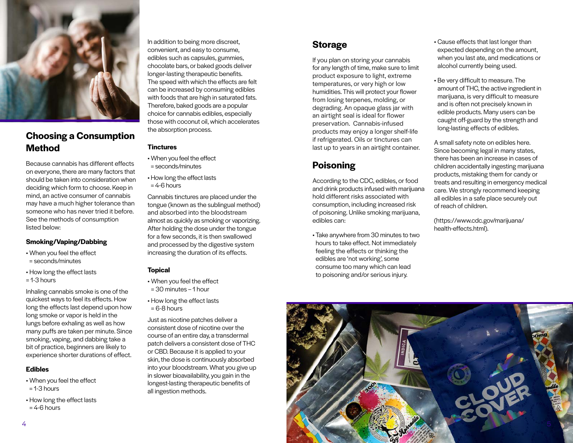

#### **Choosing a Consumption Method**

Because cannabis has different effects on everyone, there are many factors that should be taken into consideration when deciding which form to choose. Keep in mind, an active consumer of cannabis may have a much higher tolerance than someone who has never tried it before. See the methods of consumption listed below:

#### **Smoking/Vaping/Dabbing**

- When you feel the effect = seconds/minutes
- How long the effect lasts
- $= 1-3$  hours

Inhaling cannabis smoke is one of the quickest ways to feel its effects. How long the effects last depend upon how long smoke or vapor is held in the lungs before exhaling as well as how many puffs are taken per minute. Since smoking, vaping, and dabbing take a bit of practice, beginners are likely to experience shorter durations of effect.

#### **Edibles**

- When you feel the effect
- $= 1-3$  hours
- How long the effect lasts  $= 4-6$  hours

In addition to being more discreet, convenient, and easy to consume, edibles such as capsules, gummies, chocolate bars, or baked goods deliver longer-lasting therapeutic benefits. The speed with which the effects are felt can be increased by consuming edibles with foods that are high in saturated fats. Therefore, baked goods are a popular choice for cannabis edibles, especially those with coconut oil, which accelerates the absorption process.

#### **Tinctures**

- When you feel the effect = seconds/minutes
- How long the effect lasts  $= 4-6$  hours

Cannabis tinctures are placed under the tongue (known as the sublingual method) and absorbed into the bloodstream almost as quickly as smoking or vaporizing. After holding the dose under the tongue for a few seconds, it is then swallowed and processed by the digestive system increasing the duration of its effects.

#### **Topical**

- When you feel the effect
- = 30 minutes 1 hour
- How long the effect lasts  $= 6-8$  hours

Just as nicotine patches deliver a consistent dose of nicotine over the course of an entire day, a transdermal patch delivers a consistent dose of THC or CBD. Because it is applied to your skin, the dose is continuously absorbed into your bloodstream. What you give up in slower bioavailability, you gain in the longest-lasting therapeutic benefits of all ingestion methods.

#### **Storage**

If you plan on storing your cannabis for any length of time, make sure to limit product exposure to light, extreme temperatures, or very high or low humidities. This will protect your flower from losing terpenes, molding, or degrading. An opaque glass jar with an airtight seal is ideal for flower preservation. Cannabis-infused products may enjoy a longer shelf-life if refrigerated. Oils or tinctures can last up to years in an airtight container.

#### **Poisoning**

According to the CDC, edibles, or food and drink products infused with marijuana hold different risks associated with consumption, including increased risk of poisoning. Unlike smoking marijuana, edibles can:

• Take anywhere from 30 minutes to two hours to take effect. Not immediately feeling the effects or thinking the edibles are 'not working', some consume too many which can lead to poisoning and/or serious injury.

- Cause effects that last longer than expected depending on the amount, when you last ate, and medications or alcohol currently being used.
- Be very difficult to measure. The amount of THC, the active ingredient in marijuana, is very difficult to measure and is often not precisely known in edible products. Many users can be caught off-guard by the strength and long-lasting effects of edibles.

A small safety note on edibles here. Since becoming legal in many states, there has been an increase in cases of children accidentally ingesting marijuana products, mistaking them for candy or treats and resulting in emergency medical care. We strongly recommend keeping all edibles in a safe place securely out of reach of children.

(https://www.cdc.gov/marijuana/ health-effects.html).

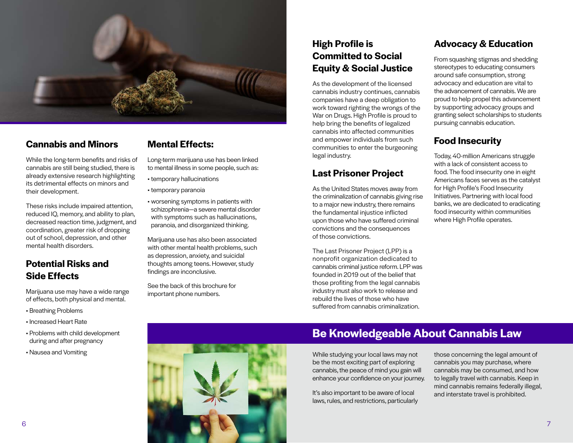

#### **Cannabis and Minors**

While the long-term benefits and risks of cannabis are still being studied, there is already extensive research highlighting its detrimental effects on minors and their development.

These risks include impaired attention, reduced IQ, memory, and ability to plan, decreased reaction time, judgment, and coordination, greater risk of dropping out of school, depression, and other mental health disorders.

#### **Potential Risks and Side Effects**

Marijuana use may have a wide range of effects, both physical and mental.

- Breathing Problems
- Increased Heart Rate
- Problems with child development during and after pregnancy
- Nausea and Vomiting

#### **Mental Effects:**

Long-term marijuana use has been linked to mental illness in some people, such as:

- temporary hallucinations
- temporary paranoia
- worsening symptoms in patients with schizophrenia—a severe mental disorder with symptoms such as hallucinations. paranoia, and disorganized thinking.

Marijuana use has also been associated with other mental health problems, such as depression, anxiety, and suicidal thoughts among teens. However, study findings are inconclusive.

See the back of this brochure for important phone numbers.

#### **High Profile is Committed to Social Equity & Social Justice**

As the development of the licensed cannabis industry continues, cannabis companies have a deep obligation to work toward righting the wrongs of the War on Drugs. High Profile is proud to help bring the benefits of legalized cannabis into affected communities and empower individuals from such communities to enter the burgeoning legal industry.

#### **Last Prisoner Project**

As the United States moves away from the criminalization of cannabis giving rise to a major new industry, there remains the fundamental injustice inflicted upon those who have suffered criminal convictions and the consequences of those convictions.

The Last Prisoner Project (LPP) is a nonprofit organization dedicated to cannabis criminal justice reform. LPP was founded in 2019 out of the belief that those profiting from the legal cannabis industry must also work to release and rebuild the lives of those who have suffered from cannabis criminalization.

#### **Advocacy & Education**

From squashing stigmas and shedding stereotypes to educating consumers around safe consumption, strong advocacy and education are vital to the advancement of cannabis. We are proud to help propel this advancement by supporting advocacy groups and granting select scholarships to students pursuing cannabis education.

#### **Food Insecurity**

Today, 40-million Americans struggle with a lack of consistent access to food. The food insecurity one in eight Americans faces serves as the catalyst for High Profile's Food Insecurity Initiatives. Partnering with local food banks, we are dedicated to eradicating food insecurity within communities where High Profile operates.



#### **Be Knowledgeable About Cannabis Law**

While studying your local laws may not be the most exciting part of exploring cannabis, the peace of mind you gain will enhance your confidence on your journey.

It's also important to be aware of local laws, rules, and restrictions, particularly those concerning the legal amount of cannabis you may purchase, where cannabis may be consumed, and how to legally travel with cannabis. Keep in mind cannabis remains federally illegal, and interstate travel is prohibited.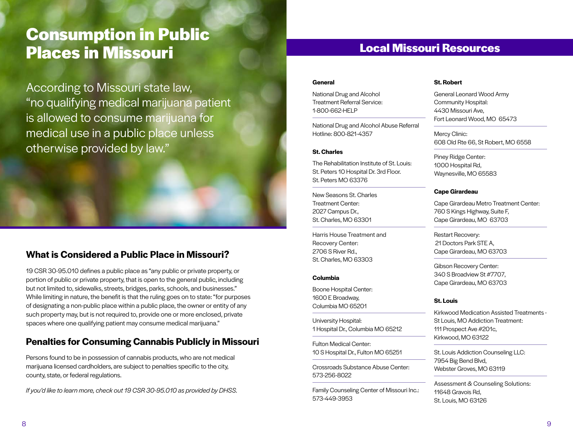## **Consumption in Public Places in Missouri**

According to Missouri state law, "no qualifying medical marijuana patient is allowed to consume marijuana for medical use in a public place unless otherwise provided by law."

#### **What is Considered a Public Place in Missouri?**

19 CSR 30-95.010 defines a public place as "any public or private property, or portion of public or private property, that is open to the general public, including but not limited to, sidewalks, streets, bridges, parks, schools, and businesses." While limiting in nature, the benefit is that the ruling goes on to state: "for purposes of designating a non-public place within a public place, the owner or entity of any such property may, but is not required to, provide one or more enclosed, private spaces where one qualifying patient may consume medical marijuana."

#### **Penalties for Consuming Cannabis Publicly in Missouri**

Persons found to be in possession of cannabis products, who are not medical marijuana licensed cardholders, are subject to penalties specific to the city, county, state, or federal regulations.

*If you'd like to learn more, check out 19 CSR 30-95.010 as provided by DHSS.*

#### **Local Missouri Resources**

#### **General**

National Drug and Alcohol Treatment Referral Service: 1-800-662-HELP

National Drug and Alcohol Abuse Referral Hotline: 800-821-4357

#### **St. Charles**

The Rehabilitation Institute of St. Louis: St. Peters 10 Hospital Dr. 3rd Floor. St. Peters MO 63376

New Seasons St. Charles Treatment Center: 2027 Campus Dr., St. Charles, MO 63301

Harris House Treatment and Recovery Center: 2706 S River Rd., St. Charles, MO 63303

#### **Columbia**

Boone Hospital Center: 1600 E Broadway, Columbia MO 65201

University Hospital: 1 Hospital Dr., Columbia MO 65212

Fulton Medical Center: 10 S Hospital Dr., Fulton MO 65251

Crossroads Substance Abuse Center: 573-256-8022

Family Counseling Center of Missouri Inc.: 573-449-3953

#### **St. Robert**

General Leonard Wood Army Community Hospital: 4430 Missouri Ave, Fort Leonard Wood, MO 65473

Mercy Clinic: 608 Old Rte 66, St Robert, MO 6558

Piney Ridge Center: 1000 Hospital Rd, Waynesville, MO 65583

#### **Cape Girardeau**

Cape Girardeau Metro Treatment Center: 760 S Kings Highway, Suite F, Cape Girardeau, MO 63703

Restart Recovery: 21 Doctors Park STE A, Cape Girardeau, MO 63703

Gibson Recovery Center: 340 S Broadview St #7707, Cape Girardeau, MO 63703

#### **St. Louis**

Kirkwood Medication Assisted Treatments - St Louis, MO Addiction Treatment: 111 Prospect Ave #201c, Kirkwood, MO 63122

St. Louis Addiction Counseling LLC: 7954 Big Bend Blvd, Webster Groves, MO 63119

Assessment & Counseling Solutions: 11648 Gravois Rd, St. Louis, MO 63126